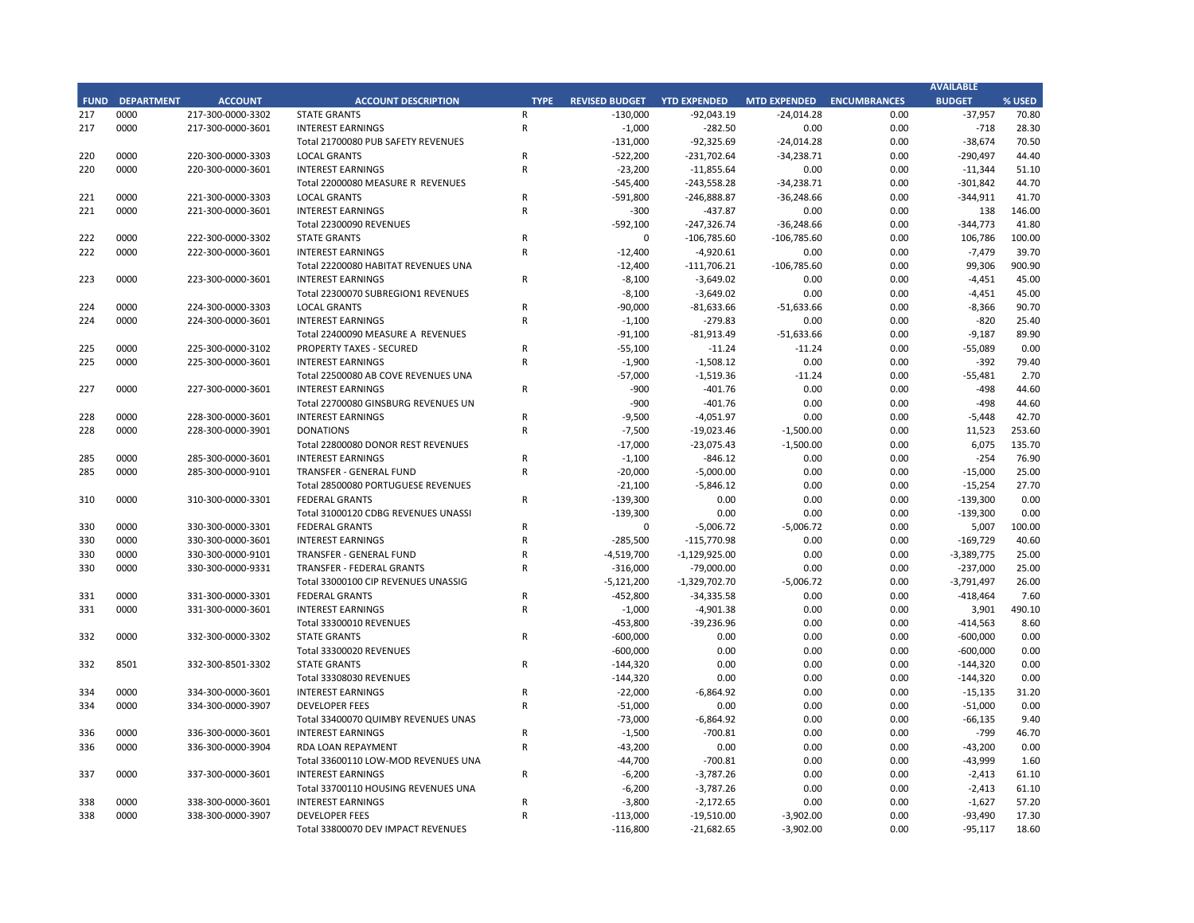## **CITY OF RANCHO PALOS VERDES STATEMENT OF REVENUES - ALL FUNDS November 30, 2018**

|             |                                   |                       | FY 2018-19         |         | FY 2017-18         |                       |          |
|-------------|-----------------------------------|-----------------------|--------------------|---------|--------------------|-----------------------|----------|
| <b>FUND</b> | <b>FUND DESCRIPTION</b>           | <b>REVISED BUDGET</b> | <b>YTD ACTUALS</b> | % REC'D | <b>YTD ACTUALS</b> | YEAR OVER YEAR CHANGE |          |
| <b>101</b>  | <b>GENERAL FUND</b>               |                       |                    |         |                    |                       |          |
|             | PROPERTY TAXES                    | \$<br>13,439,000      | \$<br>492,446      | 3.7%    | \$<br>603,301      | (110, 855)            | $-18.4%$ |
|             | <b>OTHER TAXES</b>                | 13,621,300            | 4,256,609          | 31.2%   | 3,911,662          | 344,946               | 8.8%     |
|             | LICENSES & PERMITS                | 2,290,300             | 1,032,702          | 45.1%   | 961,838            | 70,864                | 7.4%     |
|             | <b>FINES AND FORFEITURES</b>      | 97,000                | 26,930             | 27.8%   | 18,874             | 8,056                 | 42.7%    |
|             | USE OF MONEY AND PROPERTY         | 545,400               | 240,007            | 44.0%   | 252,720            | (12, 713)             | $-5.0%$  |
|             | <b>CHARGES FOR SERVICES</b>       | 416,600               | 100,420            | 24.1%   | 40,006             | 60,414                | 151.0%   |
|             | INTERGOVERNMENTAL REVENUE         | 0                     | 0                  | 0.0%    | 0                  | 0                     | 0.0%     |
|             | <b>OTHER REVENUE</b>              | 513,500               | 247,376            | 48.2%   | 235,651            | 11,725                | 5.0%     |
|             | <b>TRANSFERS IN</b>               | 220,000               | 55,000             | 25.0%   | 57,500             | (2,500)               | $-4.3%$  |
|             | <b>TOTAL GENERAL FUND</b>         | 31,143,100            | 6,451,490          | 20.7%   | 6,081,553          | 369,938               | 6.1%     |
|             |                                   |                       |                    |         |                    |                       |          |
| <b>200</b>  | <b>SPECIAL REVENUE FUNDS</b>      |                       |                    |         |                    |                       |          |
| 202         | <b>STREET MAINTENANCE</b>         | 1,798,600             | 611,202            | 34.0%   | 411,663            | 199,539               | 48.5%    |
| 203         | 1972 ACT LANDSCAPING & LIGHTING   | 300                   | 129                | 42.9%   | 1,795              | (1,667)               | $-92.8%$ |
| 209         | <b>EL PRADO LIGHTING DISTRICT</b> | 2,500                 | 257                | 10.3%   | 178                | 79                    | 44.4%    |
|             | 211 1911 ACT STREET LIGHTING      | 628,000               | 39,470             | 6.3%    | 33,326             | 6,144                 | 18.4%    |
| 212         | <b>BEAUTIFICATION</b>             | 5,000                 | 1,901              | 38.0%   | 1,192              | 710                   | 59.6%    |
| 213         | <b>WASTE REDUCTION</b>            | 211,700               | 55,665             | 26.3%   | 64,111             | (8, 446)              | $-13.2%$ |
| 214         | <b>AIR QUALITY MANAGEMENT</b>     | 50,900                | 316                | 0.6%    | 198                | 118                   | 59.7%    |
| 215         | PROPOSITION C                     | 702,400               | 303,065            | 43.1%   | 271,693            | 31,372                | 11.5%    |
|             | 216 PROPOSITION A                 | 849,400               | 371,125            | 43.7%   | 332,873            | 38,253                | 11.5%    |
| 217         | <b>PUBLIC SAFETY GRANTS</b>       | 131,000               | 92,326             | 70.5%   | 82,962             | 9,364                 | 11.3%    |
| 220         | <b>MEASURE R</b>                  | 545,400               | 243,558            | 44.7%   | 208,182            | 35,376                | 17.0%    |
| 221         | <b>MEASURE M</b>                  | 592,100               | 247,327            | 41.8%   | 109,667            | 137,659               | 125.5%   |
| 222         | <b>HABITAT RESTORATION</b>        | 12,400                | 111,706            | 900.9%  | 24,558             | 87,148                | 354.9%   |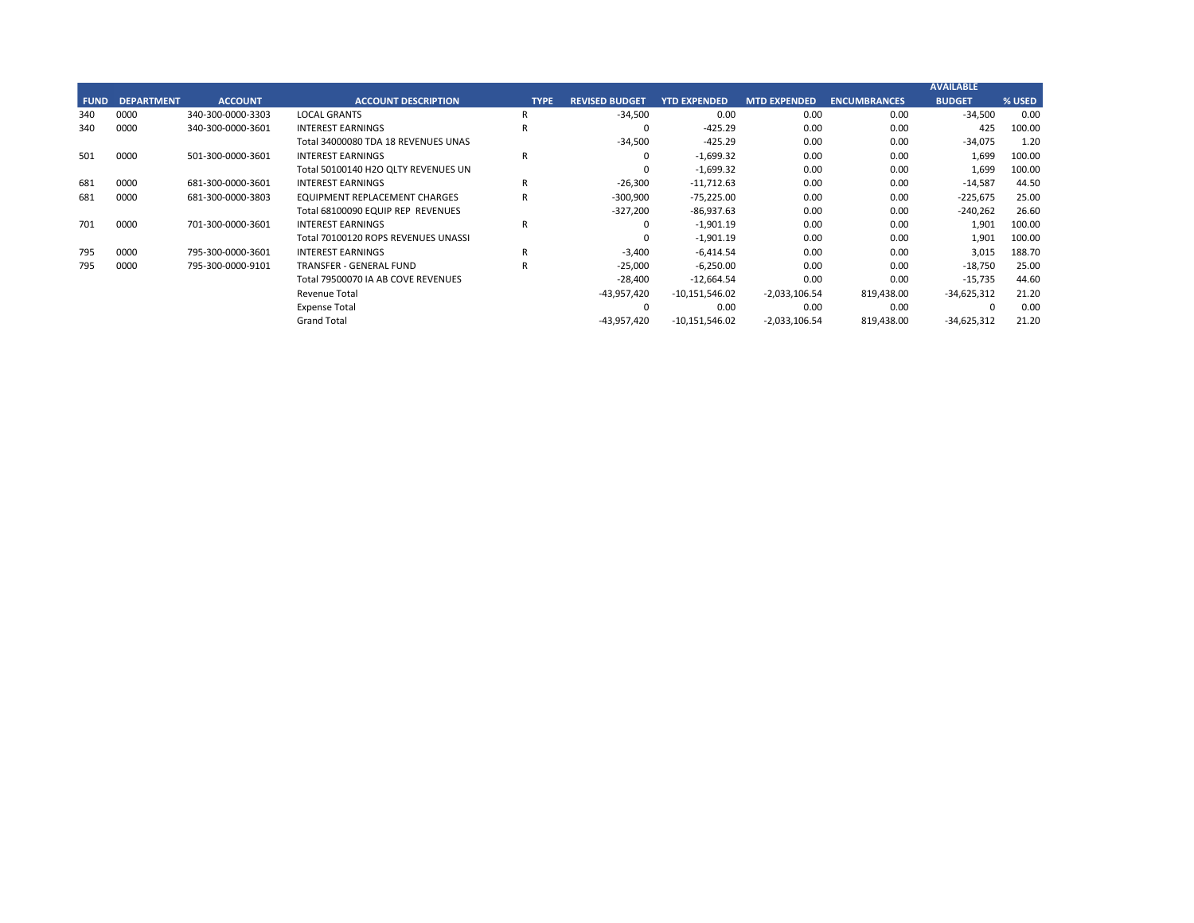## **CITY OF RANCHO PALOS VERDES STATEMENT OF REVENUES - ALL FUNDS November 30, 2018**

|             |                                          |                       | FY 2018-19         |         | FY 2017-18         |                       |           |
|-------------|------------------------------------------|-----------------------|--------------------|---------|--------------------|-----------------------|-----------|
| <b>FUND</b> | <b>FUND DESCRIPTION</b>                  | <b>REVISED BUDGET</b> | <b>YTD ACTUALS</b> | % REC'D | <b>YTD ACTUALS</b> | YEAR OVER YEAR CHANGE |           |
| 223         | <b>SUBREGION ONE MAINTENANCE</b>         | 8,100                 | 3,649              | 45.0%   | 12,266             | (8,617)               | $-70.3%$  |
| 224         | <b>MEASURE A MAINTENANCE</b>             | 91,100                | 81,913             | 89.9%   | 47,077             | 34,837                | 74.0%     |
| 225         | ABALONE COVE SEWER DISTRICT              | 57,000                | 1,519              | 2.7%    | 52,503             | (50, 983)             | $-97.1%$  |
| 227         | <b>GINSBERG CULTURAL ARTS BLDG.</b>      | 900                   | 402                | 44.6%   | 215                | 187                   | 87.2%     |
| 228         | DONOR RESTRICTED CONTRIBUTIONS           | 17,000                | 23,075             | 135.7%  | 5,203              | 17,873                | 343.5%    |
|             | <b>TOTAL SPECIAL REVENUE FUNDS</b>       | 5,703,800             | 2,188,606          | 38.4%   | 1,659,661          | 528,945               | 31.9%     |
|             |                                          |                       |                    |         |                    |                       |           |
| 300         | <b>CAPITAL PROJECTS FUNDS</b>            |                       |                    |         |                    |                       |           |
| 310         | COMMUNITY DEVELOPMENT BLOCK GRANT (CDBG) | 139,300               | 0                  | 0.0%    | 34,150             | (34, 150)             | $-100.0%$ |
| 330         | <b>INFRASTRUCTURE IMPROVEMENTS</b>       | 5,121,200             | 1,329,703          | 26.0%   | 1,203,454          | 126,248               | 10.5%     |
| 331         | <b>FEDERAL GRANTS</b>                    | 453,800               | 39,237             | 8.6%    | 187,788            | (148, 551)            | $-79.1%$  |
| 332         | <b>STATE GRANTS</b>                      | 744,320               | $\mathbf 0$        | 0.0%    | $\pmb{0}$          | $\mathbf{0}$          | 0.0%      |
| 334         | <b>QUIMBY PARK DEVELOPMENT</b>           | 73,000                | 6,865              | 9.4%    | 5,832              | 1,033                 | 17.7%     |
| 336         | LOW-MODERATE INCOME HOUSING              | 44,700                | 701                | 1.6%    | 34,669             | (33,968)              | $-98.0%$  |
| 337         | <b>AFFORDABLE HOUSING PROJECTS</b>       | 6,200                 | 3,787              | 61.1%   | 1,476              | 2,312                 | 156.7%    |
| 338         | DEVELOP IMPACT MITIGATION (EET)          | 116,800               | 21,683             | 18.6%   | 69,449             | (47, 766)             | $-68.8%$  |
| 340         | <b>BICYCLE &amp; PEDESTRIAN ACCESS</b>   | 34,500                | 425                | 1.2%    | 0                  | 425                   | 0.0%      |
|             | <b>TOTAL CAPITAL PROJECTS FUNDS</b>      | 6,733,820             | 1,402,401          | 20.8%   | 1,536,818          | (134, 417)            | $-8.7%$   |
|             |                                          |                       |                    |         |                    |                       |           |
| 500         | <b>ENTERPRISE FUNDS</b>                  |                       |                    |         |                    |                       |           |
| 501         | <b>WATER QUALITY FLOOD PROTECTION</b>    | 0                     | 1,699              | 0.0%    | 14,166             | (12, 467)             | $-88.0%$  |
|             | <b>TOTAL ENTERPRISE FUNDS</b>            | $\mathbf{0}$          | 1,699              | 0.0%    | 14,166             | (12, 467)             | $-88.0%$  |
|             |                                          |                       |                    |         |                    |                       |           |
| 600         | <b>INTERNAL SERVICE FUND</b>             |                       |                    |         |                    |                       |           |
| 681         | EQUIPMENT REPLACEMENT                    | 327,200               | 86,938             | 26.6%   | 81,356             | 5,581                 | 6.9%      |
| 685         | <b>EMPLOYEE BENEFITS</b>                 | $\mathbf 0$           | $\Omega$           | 0.0%    | $\pmb{0}$          | $\Omega$              | 0.0%      |
|             | <b>TOTAL INTERNAL SERVICE FUNDS</b>      | 327,200               | 86,938             | 26.6%   | 81,356             | 5,581                 | 6.9%      |